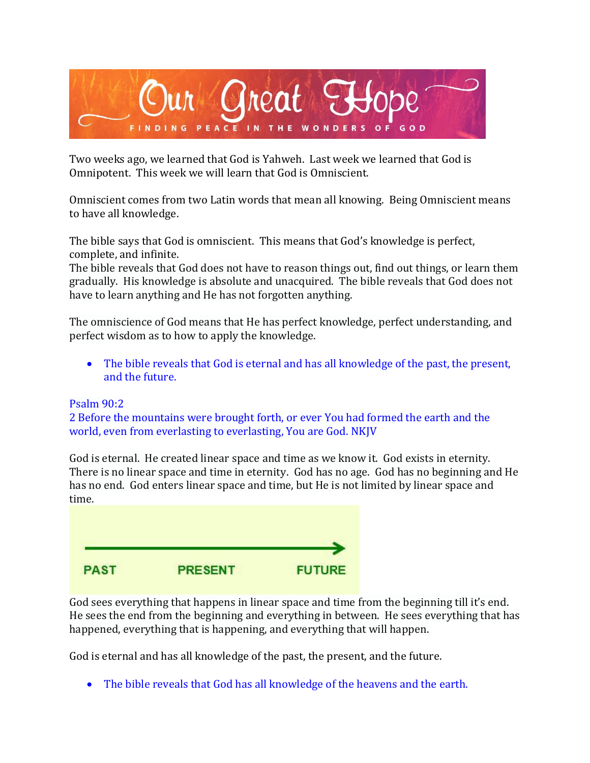

Two weeks ago, we learned that God is Yahweh. Last week we learned that God is Omnipotent. This week we will learn that God is Omniscient.

Omniscient comes from two Latin words that mean all knowing. Being Omniscient means to have all knowledge.

The bible says that God is omniscient. This means that God's knowledge is perfect, complete, and infinite.

The bible reveals that God does not have to reason things out, find out things, or learn them gradually. His knowledge is absolute and unacquired. The bible reveals that God does not have to learn anything and He has not forgotten anything.

The omniscience of God means that He has perfect knowledge, perfect understanding, and perfect wisdom as to how to apply the knowledge.

• The bible reveals that God is eternal and has all knowledge of the past, the present, and the future.

#### Psalm 90:2

2 Before the mountains were brought forth, or ever You had formed the earth and the world, even from everlasting to everlasting, You are God. NKJV

God is eternal. He created linear space and time as we know it. God exists in eternity. There is no linear space and time in eternity. God has no age. God has no beginning and He has no end. God enters linear space and time, but He is not limited by linear space and time.



God sees everything that happens in linear space and time from the beginning till it's end. He sees the end from the beginning and everything in between. He sees everything that has happened, everything that is happening, and everything that will happen.

God is eternal and has all knowledge of the past, the present, and the future.

• The bible reveals that God has all knowledge of the heavens and the earth.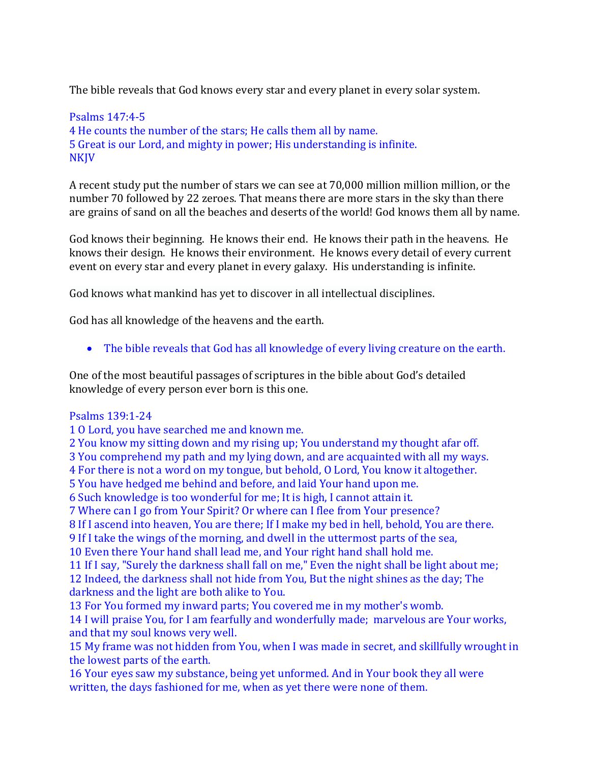The bible reveals that God knows every star and every planet in every solar system.

### Psalms 147:4-5 4 He counts the number of the stars; He calls them all by name. 5 Great is our Lord, and mighty in power; His understanding is infinite. NKJV

A recent study put the number of stars we can see at 70,000 million million million, or the number 70 followed by 22 zeroes. That means there are more stars in the sky than there are grains of sand on all the beaches and deserts of the world! God knows them all by name.

God knows their beginning. He knows their end. He knows their path in the heavens. He knows their design. He knows their environment. He knows every detail of every current event on every star and every planet in every galaxy. His understanding is infinite.

God knows what mankind has yet to discover in all intellectual disciplines.

God has all knowledge of the heavens and the earth.

• The bible reveals that God has all knowledge of every living creature on the earth.

One of the most beautiful passages of scriptures in the bible about God's detailed knowledge of every person ever born is this one.

#### Psalms 139:1-24

1 O Lord, you have searched me and known me.

2 You know my sitting down and my rising up; You understand my thought afar off.

3 You comprehend my path and my lying down, and are acquainted with all my ways.

4 For there is not a word on my tongue, but behold, O Lord, You know it altogether.

5 You have hedged me behind and before, and laid Your hand upon me.

6 Such knowledge is too wonderful for me; It is high, I cannot attain it.

7 Where can I go from Your Spirit? Or where can I flee from Your presence?

8 If I ascend into heaven, You are there; If I make my bed in hell, behold, You are there.

9 If I take the wings of the morning, and dwell in the uttermost parts of the sea,

10 Even there Your hand shall lead me, and Your right hand shall hold me.

11 If I say, "Surely the darkness shall fall on me," Even the night shall be light about me; 12 Indeed, the darkness shall not hide from You, But the night shines as the day; The darkness and the light are both alike to You.

13 For You formed my inward parts; You covered me in my mother's womb.

14 I will praise You, for I am fearfully and wonderfully made; marvelous are Your works, and that my soul knows very well.

15 My frame was not hidden from You, when I was made in secret, and skillfully wrought in the lowest parts of the earth.

16 Your eyes saw my substance, being yet unformed. And in Your book they all were written, the days fashioned for me, when as yet there were none of them.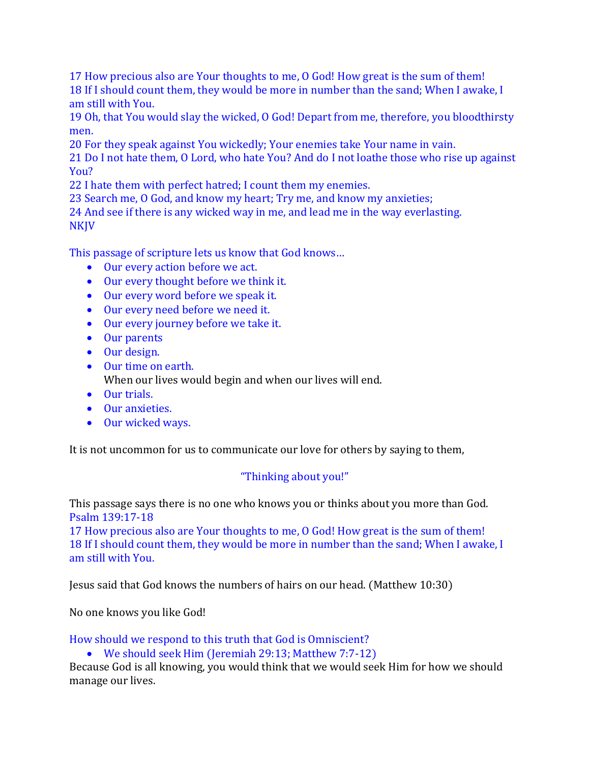17 How precious also are Your thoughts to me, O God! How great is the sum of them! 18 If I should count them, they would be more in number than the sand; When I awake, I am still with You.

19 Oh, that You would slay the wicked, O God! Depart from me, therefore, you bloodthirsty men.

20 For they speak against You wickedly; Your enemies take Your name in vain.

21 Do I not hate them, O Lord, who hate You? And do I not loathe those who rise up against You?

22 I hate them with perfect hatred; I count them my enemies.

23 Search me, O God, and know my heart; Try me, and know my anxieties;

24 And see if there is any wicked way in me, and lead me in the way everlasting. NKJV

This passage of scripture lets us know that God knows…

- Our every action before we act.
- Our every thought before we think it.
- Our every word before we speak it.
- Our every need before we need it.
- Our every journey before we take it.
- Our parents
- Our design.
- Our time on earth.
	- When our lives would begin and when our lives will end.
- Our trials.
- Our anxieties.
- Our wicked ways.

It is not uncommon for us to communicate our love for others by saying to them,

# "Thinking about you!"

This passage says there is no one who knows you or thinks about you more than God. Psalm 139:17-18

17 How precious also are Your thoughts to me, O God! How great is the sum of them! 18 If I should count them, they would be more in number than the sand; When I awake, I am still with You.

Jesus said that God knows the numbers of hairs on our head. (Matthew 10:30)

No one knows you like God!

How should we respond to this truth that God is Omniscient?

• We should seek Him (Jeremiah 29:13; Matthew 7:7-12)

Because God is all knowing, you would think that we would seek Him for how we should manage our lives.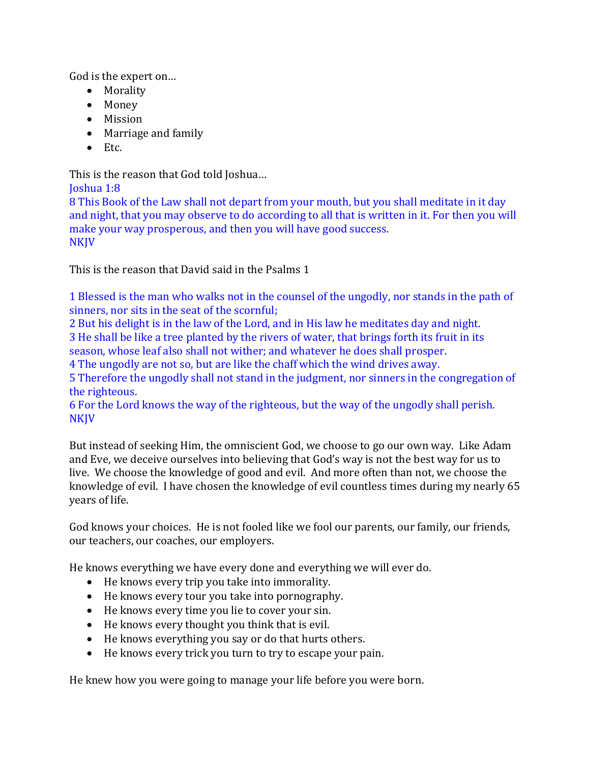God is the expert on…

- Morality
- Money
- Mission
- Marriage and family
- Etc.

This is the reason that God told Joshua…

Joshua 1:8

8 This Book of the Law shall not depart from your mouth, but you shall meditate in it day and night, that you may observe to do according to all that is written in it. For then you will make your way prosperous, and then you will have good success. NKJV

This is the reason that David said in the Psalms 1

1 Blessed is the man who walks not in the counsel of the ungodly, nor stands in the path of sinners, nor sits in the seat of the scornful;

2 But his delight is in the law of the Lord, and in His law he meditates day and night. 3 He shall be like a tree planted by the rivers of water, that brings forth its fruit in its season, whose leaf also shall not wither; and whatever he does shall prosper.

4 The ungodly are not so, but are like the chaff which the wind drives away.

5 Therefore the ungodly shall not stand in the judgment, nor sinners in the congregation of the righteous.

6 For the Lord knows the way of the righteous, but the way of the ungodly shall perish. NKJV

But instead of seeking Him, the omniscient God, we choose to go our own way. Like Adam and Eve, we deceive ourselves into believing that God's way is not the best way for us to live. We choose the knowledge of good and evil. And more often than not, we choose the knowledge of evil. I have chosen the knowledge of evil countless times during my nearly 65 years of life.

God knows your choices. He is not fooled like we fool our parents, our family, our friends, our teachers, our coaches, our employers.

He knows everything we have every done and everything we will ever do.

- He knows every trip you take into immorality.
- He knows every tour you take into pornography.
- He knows every time you lie to cover your sin.
- He knows every thought you think that is evil.
- He knows everything you say or do that hurts others.
- He knows every trick you turn to try to escape your pain.

He knew how you were going to manage your life before you were born.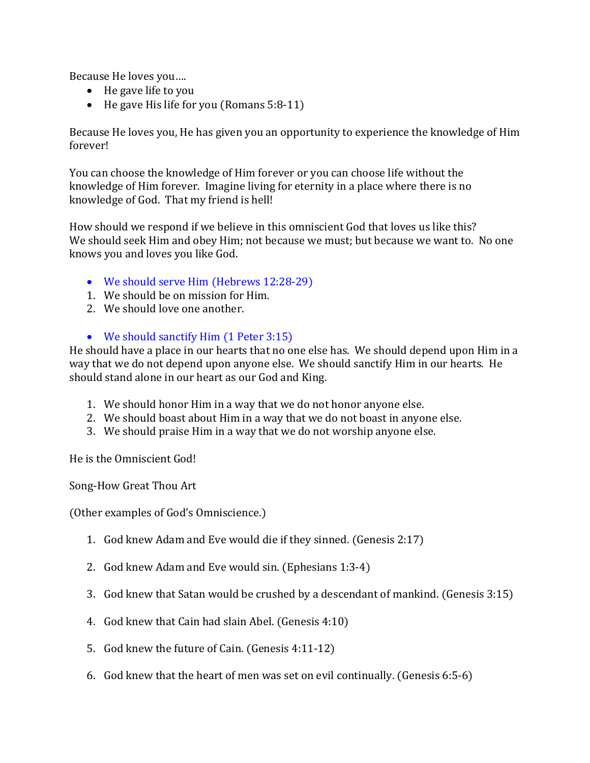Because He loves you….

- He gave life to you
- He gave His life for you (Romans 5:8-11)

Because He loves you, He has given you an opportunity to experience the knowledge of Him forever!

You can choose the knowledge of Him forever or you can choose life without the knowledge of Him forever. Imagine living for eternity in a place where there is no knowledge of God. That my friend is hell!

How should we respond if we believe in this omniscient God that loves us like this? We should seek Him and obey Him; not because we must; but because we want to. No one knows you and loves you like God.

- We should serve Him (Hebrews 12:28-29)
- 1. We should be on mission for Him.
- 2. We should love one another.

## • We should sanctify Him (1 Peter 3:15)

He should have a place in our hearts that no one else has. We should depend upon Him in a way that we do not depend upon anyone else. We should sanctify Him in our hearts. He should stand alone in our heart as our God and King.

- 1. We should honor Him in a way that we do not honor anyone else.
- 2. We should boast about Him in a way that we do not boast in anyone else.
- 3. We should praise Him in a way that we do not worship anyone else.

He is the Omniscient God!

Song-How Great Thou Art

(Other examples of God's Omniscience.)

- 1. God knew Adam and Eve would die if they sinned. (Genesis 2:17)
- 2. God knew Adam and Eve would sin. (Ephesians 1:3-4)
- 3. God knew that Satan would be crushed by a descendant of mankind. (Genesis 3:15)
- 4. God knew that Cain had slain Abel. (Genesis 4:10)
- 5. God knew the future of Cain. (Genesis 4:11-12)
- 6. God knew that the heart of men was set on evil continually. (Genesis 6:5-6)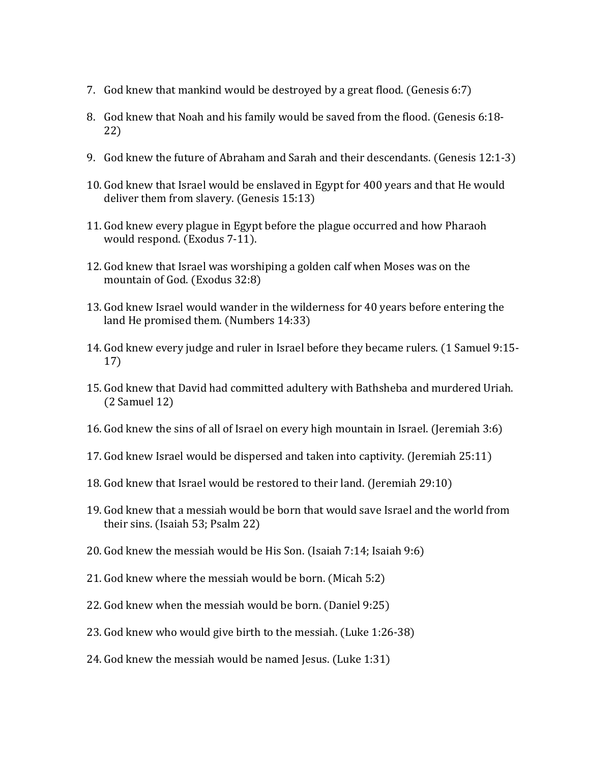- 7. God knew that mankind would be destroyed by a great flood. (Genesis 6:7)
- 8. God knew that Noah and his family would be saved from the flood. (Genesis 6:18- 22)
- 9. God knew the future of Abraham and Sarah and their descendants. (Genesis 12:1-3)
- 10. God knew that Israel would be enslaved in Egypt for 400 years and that He would deliver them from slavery. (Genesis 15:13)
- 11. God knew every plague in Egypt before the plague occurred and how Pharaoh would respond. (Exodus 7-11).
- 12. God knew that Israel was worshiping a golden calf when Moses was on the mountain of God. (Exodus 32:8)
- 13. God knew Israel would wander in the wilderness for 40 years before entering the land He promised them. (Numbers 14:33)
- 14. God knew every judge and ruler in Israel before they became rulers. (1 Samuel 9:15- 17)
- 15. God knew that David had committed adultery with Bathsheba and murdered Uriah. (2 Samuel 12)
- 16. God knew the sins of all of Israel on every high mountain in Israel. (Jeremiah 3:6)
- 17. God knew Israel would be dispersed and taken into captivity. (Jeremiah 25:11)
- 18. God knew that Israel would be restored to their land. (Jeremiah 29:10)
- 19. God knew that a messiah would be born that would save Israel and the world from their sins. (Isaiah 53; Psalm 22)
- 20. God knew the messiah would be His Son. (Isaiah 7:14; Isaiah 9:6)
- 21. God knew where the messiah would be born. (Micah 5:2)
- 22. God knew when the messiah would be born. (Daniel 9:25)
- 23. God knew who would give birth to the messiah. (Luke 1:26-38)
- 24. God knew the messiah would be named Jesus. (Luke 1:31)